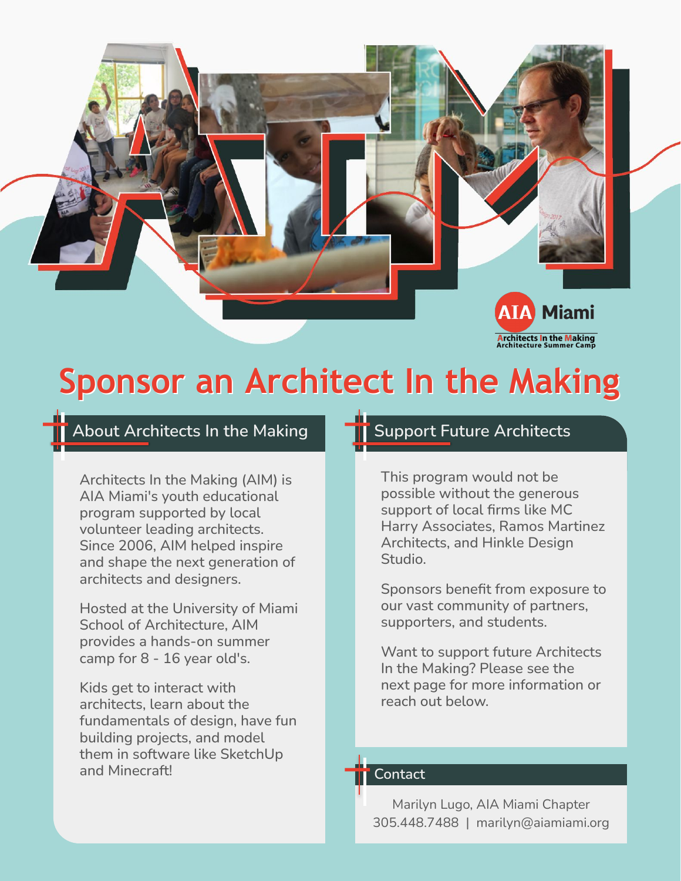

## **Sponsor an Architect In the Making**

### About Architects In the Making **TH** Support Future Architects

Architects In the Making (AIM) is AIA Miami's youth educational program supported by local volunteer leading architects. Since 2006, AIM helped inspire and shape the next generation of architects and designers.

Hosted at the University of Miami School of Architecture, AIM provides a hands-on summer camp for 8 - 16 year old's.

Kids get to interact with architects, learn about the fundamentals of design, have fun building projects, and model them in software like SketchUp and Minecraft!

This program would not be possible without the generous support of local firms like MC Harry Associates, Ramos Martinez Architects, and Hinkle Design Studio.

Sponsors benefit from exposure to our vast community of partners, supporters, and students.

Want to support future Architects In the Making? Please see the next page for more information or reach out below.

#### **Contact**

Marilyn Lugo, AIA Miami Chapter 305.448.7488 | marilyn@aiamiami.org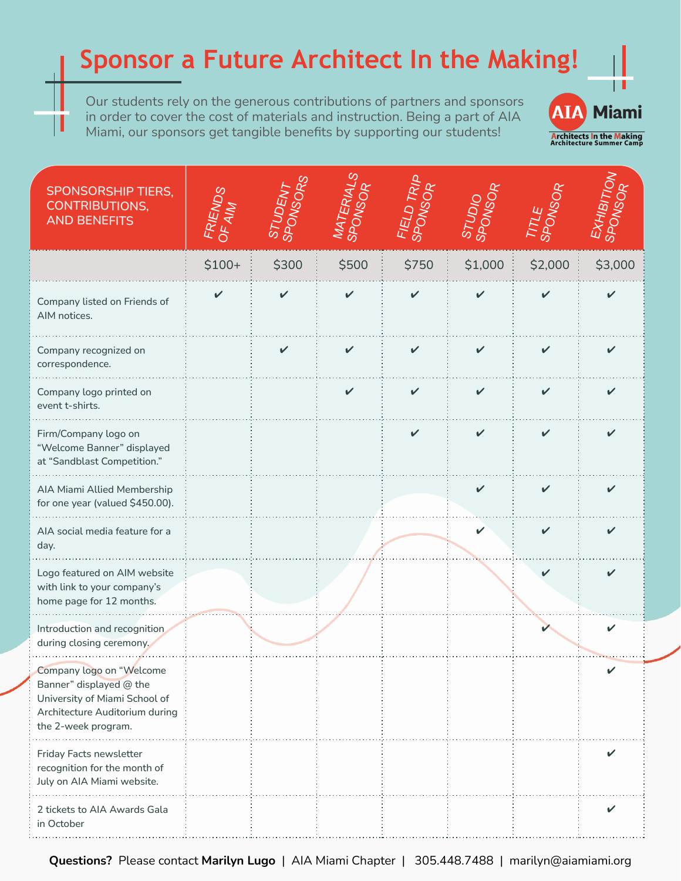### **Sponsor a Future Architect In the Making!**

Our students rely on the generous contributions of partners and sponsors in order to cover the cost of materials and instruction. Being a part of AIA Miami, our sponsors get tangible benefits by supporting our students!

ı



| <b>SPONSORSHIP TIERS,</b><br><b>CONTRIBUTIONS,</b><br><b>AND BENEFITS</b>                                                                     | FRIENDS | <b>STUDENT</b><br>SPONSORS | MATERIALS<br><b>S</b><br><b>SPONSO</b> | ELDTRI<br><b>SPONSO</b> | <b>STUDIO</b><br>SPONSO | <b>SPONS</b> | EXHIBITION<br>SPONSOR |
|-----------------------------------------------------------------------------------------------------------------------------------------------|---------|----------------------------|----------------------------------------|-------------------------|-------------------------|--------------|-----------------------|
|                                                                                                                                               | $$100+$ | \$300                      | \$500                                  | \$750                   | \$1,000                 | \$2,000      | \$3,000               |
| Company listed on Friends of<br>AIM notices.                                                                                                  |         |                            |                                        |                         |                         |              |                       |
| Company recognized on<br>correspondence.                                                                                                      |         |                            |                                        |                         |                         |              |                       |
| Company logo printed on<br>event t-shirts.                                                                                                    |         |                            |                                        |                         |                         |              |                       |
| Firm/Company logo on<br>"Welcome Banner" displayed<br>at "Sandblast Competition."                                                             |         |                            |                                        |                         |                         |              |                       |
| AIA Miami Allied Membership<br>for one year (valued \$450.00).                                                                                |         |                            |                                        |                         |                         |              |                       |
| AIA social media feature for a<br>day.                                                                                                        |         |                            |                                        |                         |                         |              |                       |
| Logo featured on AIM website<br>with link to your company's<br>home page for 12 months.                                                       |         |                            |                                        |                         |                         |              |                       |
| Introduction and recognition<br>during closing ceremony.                                                                                      |         |                            |                                        |                         |                         |              |                       |
| Company logo on "Welcome<br>Banner" displayed @ the<br>University of Miami School of<br>Architecture Auditorium during<br>the 2-week program. |         |                            |                                        |                         |                         |              |                       |
| Friday Facts newsletter<br>recognition for the month of<br>July on AIA Miami website.                                                         |         |                            |                                        |                         |                         |              |                       |
| 2 tickets to AIA Awards Gala<br>in October                                                                                                    |         |                            |                                        |                         |                         |              | ✓                     |

**Questions?** Please contact **Marilyn Lugo** | AIA Miami Chapter | 305.448.7488 | marilyn@aiamiami.org